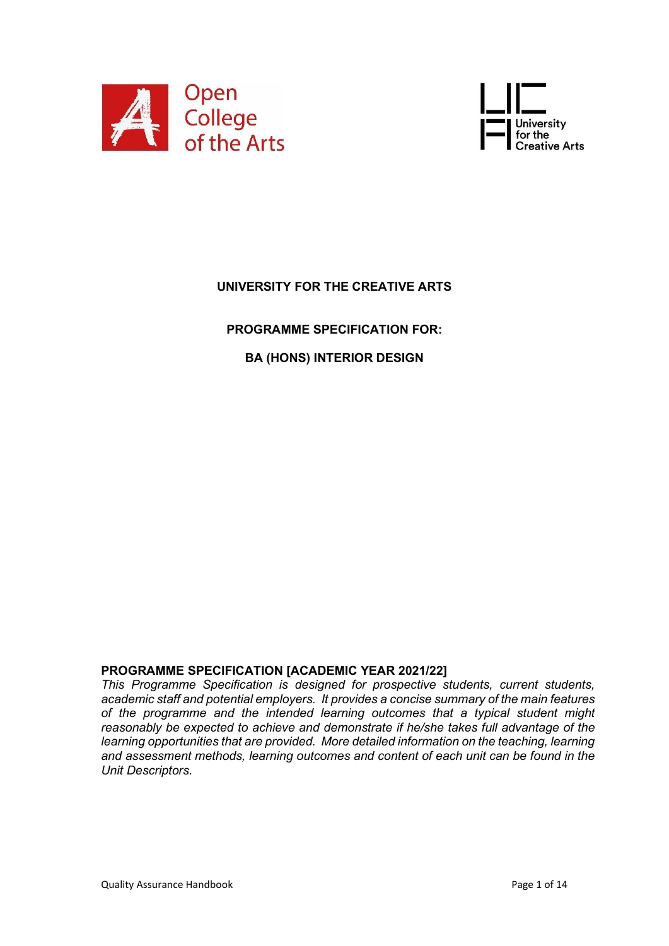



# **UNIVERSITY FOR THE CREATIVE ARTS**

**PROGRAMME SPECIFICATION FOR:**

# **BA (HONS) INTERIOR DESIGN**

### **PROGRAMME SPECIFICATION [ACADEMIC YEAR 2021/22]**

*This Programme Specification is designed for prospective students, current students, academic staff and potential employers. It provides a concise summary of the main features of the programme and the intended learning outcomes that a typical student might reasonably be expected to achieve and demonstrate if he/she takes full advantage of the learning opportunities that are provided. More detailed information on the teaching, learning and assessment methods, learning outcomes and content of each unit can be found in the Unit Descriptors.*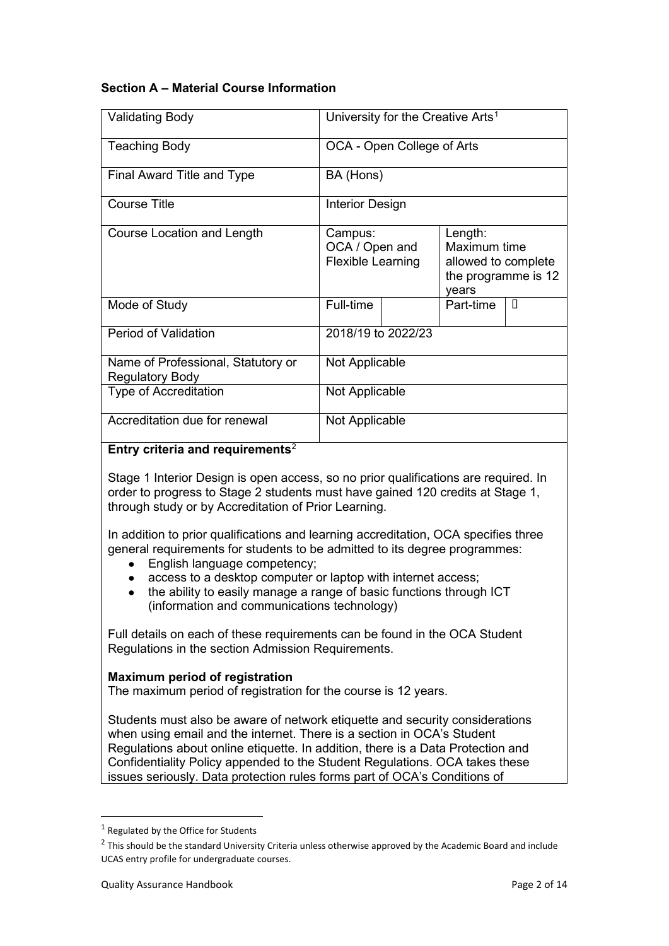## **Section A – Material Course Information**

| <b>Validating Body</b>                                       |                                                       |  | University for the Creative Arts <sup>1</sup>                                  |   |  |
|--------------------------------------------------------------|-------------------------------------------------------|--|--------------------------------------------------------------------------------|---|--|
| <b>Teaching Body</b>                                         | OCA - Open College of Arts                            |  |                                                                                |   |  |
| Final Award Title and Type                                   | BA (Hons)                                             |  |                                                                                |   |  |
| <b>Course Title</b>                                          | <b>Interior Design</b>                                |  |                                                                                |   |  |
| <b>Course Location and Length</b>                            | Campus:<br>OCA / Open and<br><b>Flexible Learning</b> |  | Length:<br>Maximum time<br>allowed to complete<br>the programme is 12<br>vears |   |  |
| Mode of Study                                                | Full-time                                             |  | Part-time                                                                      | Л |  |
| <b>Period of Validation</b>                                  | 2018/19 to 2022/23                                    |  |                                                                                |   |  |
| Name of Professional, Statutory or<br><b>Regulatory Body</b> | Not Applicable                                        |  |                                                                                |   |  |
| <b>Type of Accreditation</b>                                 | Not Applicable                                        |  |                                                                                |   |  |
| Accreditation due for renewal                                | Not Applicable                                        |  |                                                                                |   |  |

### **Entry criteria and requirements**[2](#page-1-1)

Stage 1 Interior Design is open access, so no prior qualifications are required. In order to progress to Stage 2 students must have gained 120 credits at Stage 1, through study or by Accreditation of Prior Learning.

In addition to prior qualifications and learning accreditation, OCA specifies three general requirements for students to be admitted to its degree programmes:

- English language competency;
- access to a desktop computer or laptop with internet access;
- the ability to easily manage a range of basic functions through ICT (information and communications technology)

Full details on each of these requirements can be found in the OCA Student Regulations in the section Admission Requirements.

#### **Maximum period of registration**

The maximum period of registration for the course is 12 years.

Students must also be aware of network etiquette and security considerations when using email and the internet. There is a section in OCA's Student Regulations about online etiquette. In addition, there is a Data Protection and Confidentiality Policy appended to the Student Regulations. OCA takes these issues seriously. Data protection rules forms part of OCA's Conditions of

<span id="page-1-0"></span> $1$  Regulated by the Office for Students

<span id="page-1-1"></span><sup>&</sup>lt;sup>2</sup> This should be the standard University Criteria unless otherwise approved by the Academic Board and include UCAS entry profile for undergraduate courses.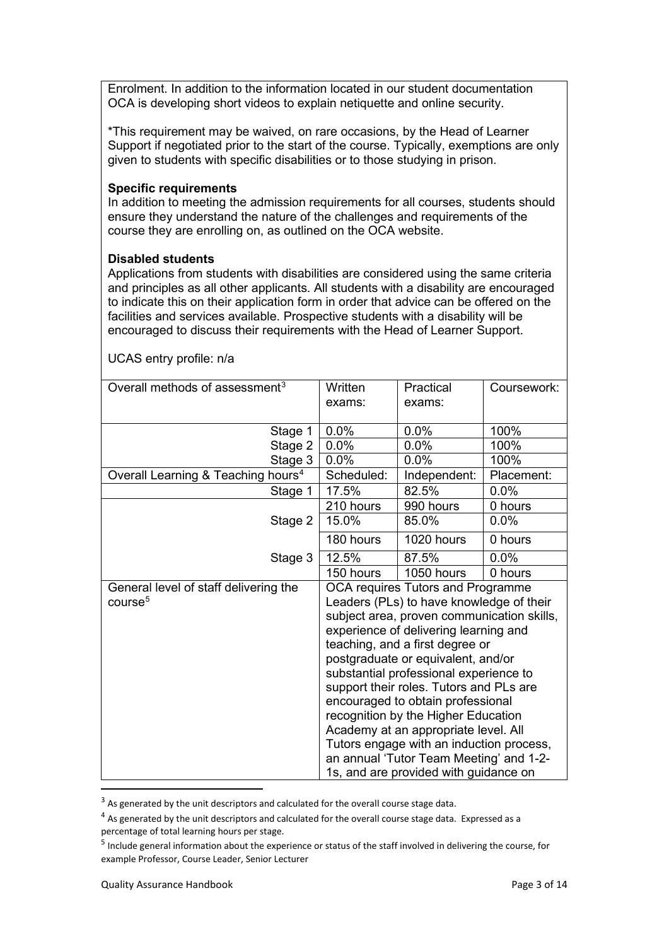Enrolment. In addition to the information located in our student documentation OCA is developing short videos to explain netiquette and online security.

\*This requirement may be waived, on rare occasions, by the Head of Learner Support if negotiated prior to the start of the course. Typically, exemptions are only given to students with specific disabilities or to those studying in prison.

### **Specific requirements**

In addition to meeting the admission requirements for all courses, students should ensure they understand the nature of the challenges and requirements of the course they are enrolling on, as outlined on the OCA website.

#### **Disabled students**

Applications from students with disabilities are considered using the same criteria and principles as all other applicants. All students with a disability are encouraged to indicate this on their application form in order that advice can be offered on the facilities and services available. Prospective students with a disability will be encouraged to discuss their requirements with the Head of Learner Support.

| Overall methods of assessment <sup>3</sup>     | Written                                                                     | Practical                             | Coursework: |  |  |
|------------------------------------------------|-----------------------------------------------------------------------------|---------------------------------------|-------------|--|--|
|                                                | exams:                                                                      | exams:                                |             |  |  |
|                                                |                                                                             |                                       |             |  |  |
| Stage 1                                        | 0.0%                                                                        | 0.0%                                  | 100%        |  |  |
| Stage 2                                        | 0.0%                                                                        | 0.0%                                  | 100%        |  |  |
| Stage 3                                        | 0.0%                                                                        | 0.0%                                  | 100%        |  |  |
| Overall Learning & Teaching hours <sup>4</sup> | Scheduled:                                                                  | Independent:                          | Placement:  |  |  |
| Stage 1                                        | 17.5%                                                                       | 82.5%                                 | 0.0%        |  |  |
|                                                | 210 hours                                                                   | 990 hours                             | 0 hours     |  |  |
| Stage 2                                        | 15.0%                                                                       | 85.0%                                 | 0.0%        |  |  |
|                                                | 180 hours                                                                   | 1020 hours                            | 0 hours     |  |  |
| Stage 3                                        | 12.5%                                                                       | 87.5%                                 | 0.0%        |  |  |
|                                                | 150 hours                                                                   | 1050 hours                            | 0 hours     |  |  |
| General level of staff delivering the          | <b>OCA requires Tutors and Programme</b>                                    |                                       |             |  |  |
| course <sup>5</sup>                            | Leaders (PLs) to have knowledge of their                                    |                                       |             |  |  |
|                                                | subject area, proven communication skills,                                  |                                       |             |  |  |
|                                                |                                                                             | experience of delivering learning and |             |  |  |
|                                                | teaching, and a first degree or                                             |                                       |             |  |  |
|                                                | postgraduate or equivalent, and/or                                          |                                       |             |  |  |
|                                                | substantial professional experience to                                      |                                       |             |  |  |
|                                                | support their roles. Tutors and PLs are                                     |                                       |             |  |  |
|                                                | encouraged to obtain professional                                           |                                       |             |  |  |
|                                                | recognition by the Higher Education<br>Academy at an appropriate level. All |                                       |             |  |  |
|                                                |                                                                             |                                       |             |  |  |
|                                                | Tutors engage with an induction process,                                    |                                       |             |  |  |
| an annual 'Tutor Team Meeting' and 1-2-        |                                                                             |                                       |             |  |  |
|                                                | 1s, and are provided with guidance on                                       |                                       |             |  |  |

UCAS entry profile: n/a

<span id="page-2-0"></span> $3$  As generated by the unit descriptors and calculated for the overall course stage data.

<span id="page-2-1"></span><sup>&</sup>lt;sup>4</sup> As generated by the unit descriptors and calculated for the overall course stage data. Expressed as a percentage of total learning hours per stage.

<span id="page-2-2"></span><sup>5</sup> Include general information about the experience or status of the staff involved in delivering the course, for example Professor, Course Leader, Senior Lecturer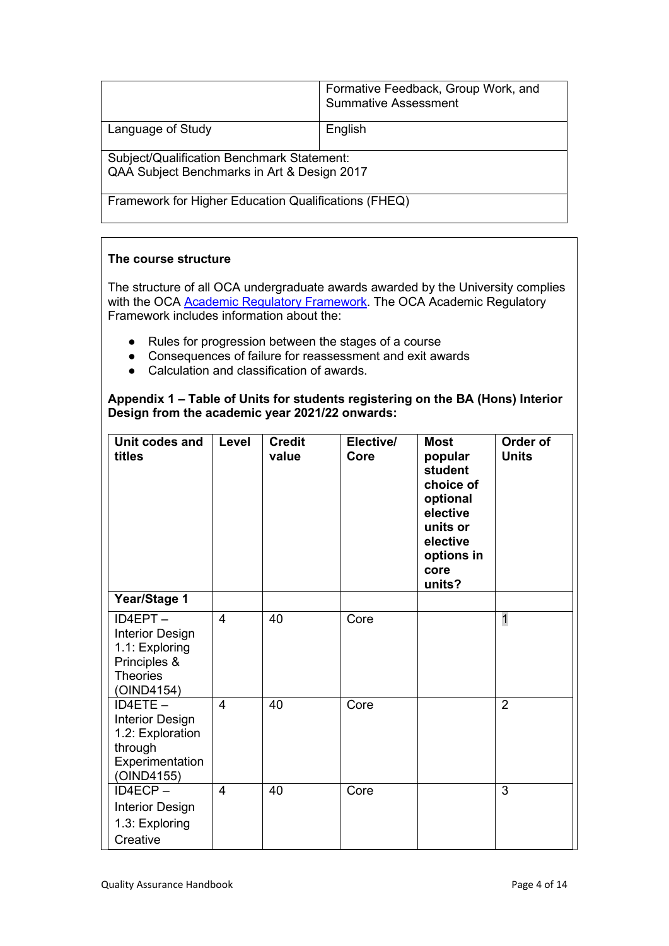|                                                                                           | Formative Feedback, Group Work, and<br><b>Summative Assessment</b> |  |  |  |  |
|-------------------------------------------------------------------------------------------|--------------------------------------------------------------------|--|--|--|--|
| Language of Study                                                                         | English                                                            |  |  |  |  |
| Subject/Qualification Benchmark Statement:<br>QAA Subject Benchmarks in Art & Design 2017 |                                                                    |  |  |  |  |
| Framework for Higher Education Qualifications (FHEQ)                                      |                                                                    |  |  |  |  |

## **The course structure**

The structure of all OCA undergraduate awards awarded by the University complies with the OCA [Academic Regulatory Framework.](https://www.oca.ac.uk/about-us/our-policies/) The OCA Academic Regulatory Framework includes information about the:

- Rules for progression between the stages of a course
- Consequences of failure for reassessment and exit awards
- Calculation and classification of awards.

**Appendix 1 – Table of Units for students registering on the BA (Hons) Interior Design from the academic year 2021/22 onwards:**

| Unit codes and<br>titles                                                                             | Level          | <b>Credit</b><br>value | Elective/<br>Core | <b>Most</b><br>popular<br>student<br>choice of<br>optional<br>elective<br>units or<br>elective<br>options in<br>core<br>units? | Order of<br><b>Units</b> |
|------------------------------------------------------------------------------------------------------|----------------|------------------------|-------------------|--------------------------------------------------------------------------------------------------------------------------------|--------------------------|
| <b>Year/Stage 1</b>                                                                                  |                |                        |                   |                                                                                                                                |                          |
| ID4EPT-<br><b>Interior Design</b><br>1.1: Exploring<br>Principles &<br><b>Theories</b><br>(OIND4154) | 4              | 40                     | Core              |                                                                                                                                | $\mathbf{1}$             |
| $ID4ETE -$<br><b>Interior Design</b><br>1.2: Exploration<br>through<br>Experimentation<br>(OIND4155) | $\overline{4}$ | 40                     | Core              |                                                                                                                                | $\overline{2}$           |
| ID4ECP-<br><b>Interior Design</b><br>1.3: Exploring<br>Creative                                      | 4              | 40                     | Core              |                                                                                                                                | 3                        |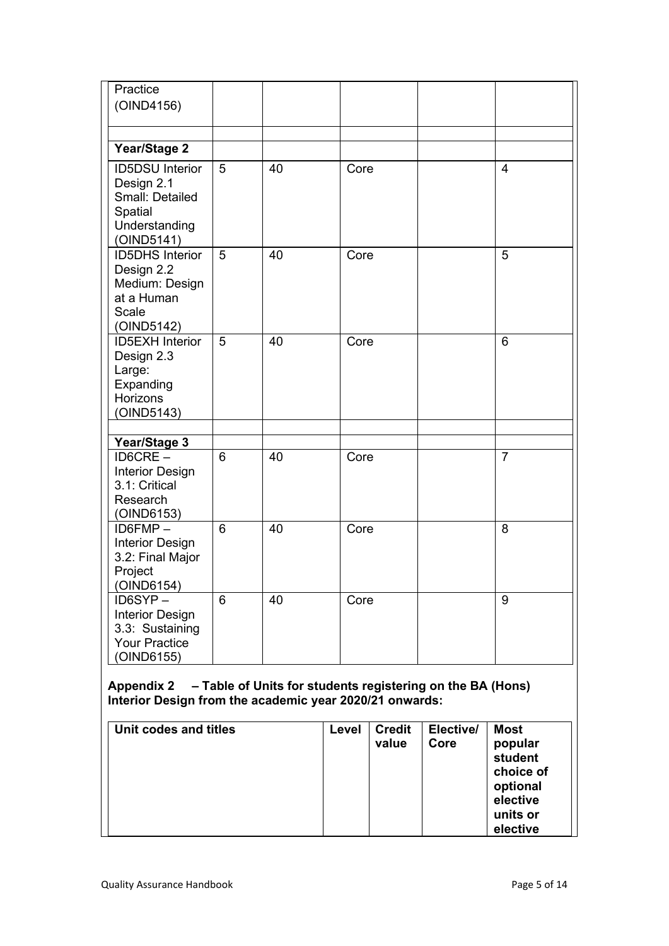| Practice                                                                                          |                |    |      |                |
|---------------------------------------------------------------------------------------------------|----------------|----|------|----------------|
| (OIND4156)                                                                                        |                |    |      |                |
|                                                                                                   |                |    |      |                |
|                                                                                                   |                |    |      |                |
| Year/Stage 2                                                                                      |                |    |      |                |
| <b>ID5DSU</b> Interior<br>Design 2.1<br>Small: Detailed<br>Spatial<br>Understanding<br>(OIND5141) | 5              | 40 | Core | $\overline{4}$ |
| <b>ID5DHS</b> Interior<br>Design 2.2<br>Medium: Design<br>at a Human<br>Scale<br>(OIND5142)       | $\overline{5}$ | 40 | Core | 5              |
| <b>ID5EXH</b> Interior<br>Design 2.3<br>Large:<br>Expanding<br><b>Horizons</b><br>(OIND5143)      | 5              | 40 | Core | 6              |
|                                                                                                   |                |    |      |                |
| Year/Stage 3                                                                                      |                |    |      |                |
| ID6CRE-<br><b>Interior Design</b><br>3.1: Critical<br>Research<br>(OIND6153)                      | 6              | 40 | Core | $\overline{7}$ |
| $ID6FMP -$<br><b>Interior Design</b><br>3.2: Final Major<br>Project<br>(OIND6154)                 | $6\phantom{1}$ | 40 | Core | 8              |
| ID6SYP-<br><b>Interior Design</b><br>3.3: Sustaining<br><b>Your Practice</b><br>(OIND6155)        | 6              | 40 | Core | 9              |

## **Appendix 2 – Table of Units for students registering on the BA (Hons) Interior Design from the academic year 2020/21 onwards:**

| Unit codes and titles | Level | <b>Credit</b><br>value | Elective/<br>Core | <b>Most</b><br>popular<br>student<br>choice of<br>optional<br>elective<br>units or<br>elective |
|-----------------------|-------|------------------------|-------------------|------------------------------------------------------------------------------------------------|
|-----------------------|-------|------------------------|-------------------|------------------------------------------------------------------------------------------------|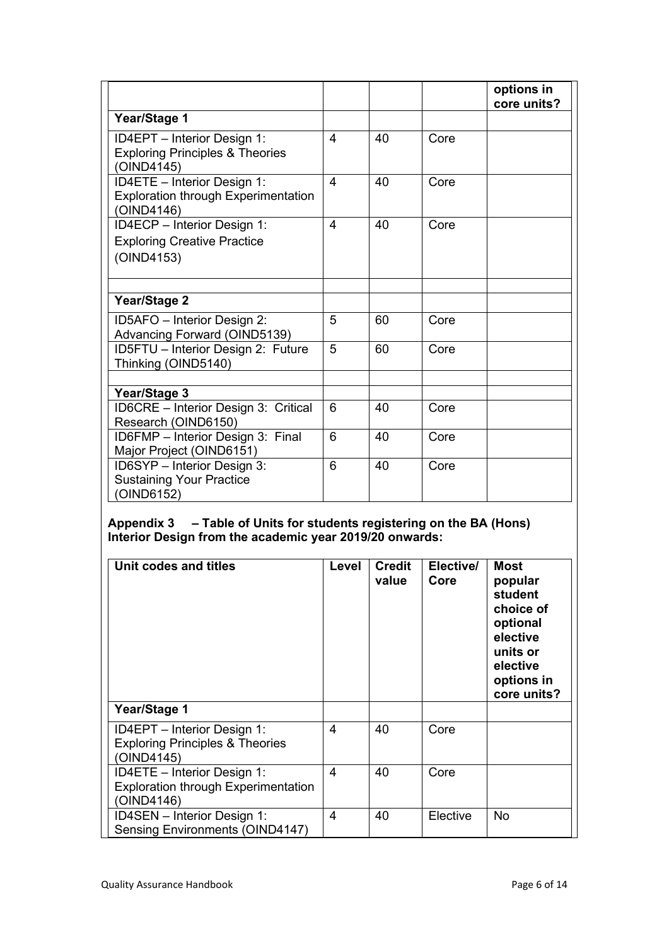|                                                                                         |                |    |      | options in<br>core units? |
|-----------------------------------------------------------------------------------------|----------------|----|------|---------------------------|
| Year/Stage 1                                                                            |                |    |      |                           |
| ID4EPT - Interior Design 1:<br><b>Exploring Principles &amp; Theories</b><br>(OIND4145) | 4              | 40 | Core |                           |
| ID4ETE - Interior Design 1:<br><b>Exploration through Experimentation</b><br>(OIND4146) | $\overline{4}$ | 40 | Core |                           |
| ID4ECP - Interior Design 1:<br><b>Exploring Creative Practice</b><br>(OIND4153)         | 4              | 40 | Core |                           |
| Year/Stage 2                                                                            |                |    |      |                           |
| ID5AFO - Interior Design 2:<br>Advancing Forward (OIND5139)                             | 5              | 60 | Core |                           |
| ID5FTU - Interior Design 2: Future<br>Thinking (OIND5140)                               | 5              | 60 | Core |                           |
| Year/Stage 3                                                                            |                |    |      |                           |
| ID6CRE - Interior Design 3: Critical<br>Research (OIND6150)                             | 6              | 40 | Core |                           |
| ID6FMP - Interior Design 3: Final<br>Major Project (OIND6151)                           | 6              | 40 | Core |                           |
| ID6SYP - Interior Design 3:<br><b>Sustaining Your Practice</b><br>(OIND6152)            | 6              | 40 | Core |                           |

## **Appendix 3 – Table of Units for students registering on the BA (Hons) Interior Design from the academic year 2019/20 onwards:**

| Unit codes and titles                                                                   | Level          | <b>Credit</b><br>value | Elective/<br>Core | <b>Most</b><br>popular<br>student<br>choice of<br>optional<br>elective<br>units or<br>elective<br>options in<br>core units? |
|-----------------------------------------------------------------------------------------|----------------|------------------------|-------------------|-----------------------------------------------------------------------------------------------------------------------------|
| <b>Year/Stage 1</b>                                                                     |                |                        |                   |                                                                                                                             |
| ID4EPT - Interior Design 1:<br><b>Exploring Principles &amp; Theories</b><br>(OIND4145) | 4              | 40                     | Core              |                                                                                                                             |
| ID4ETE - Interior Design 1:<br><b>Exploration through Experimentation</b><br>(OIND4146) | 4              | 40                     | Core              |                                                                                                                             |
| ID4SEN - Interior Design 1:<br><b>Sensing Environments (OIND4147)</b>                   | $\overline{4}$ | 40                     | Elective          | <b>No</b>                                                                                                                   |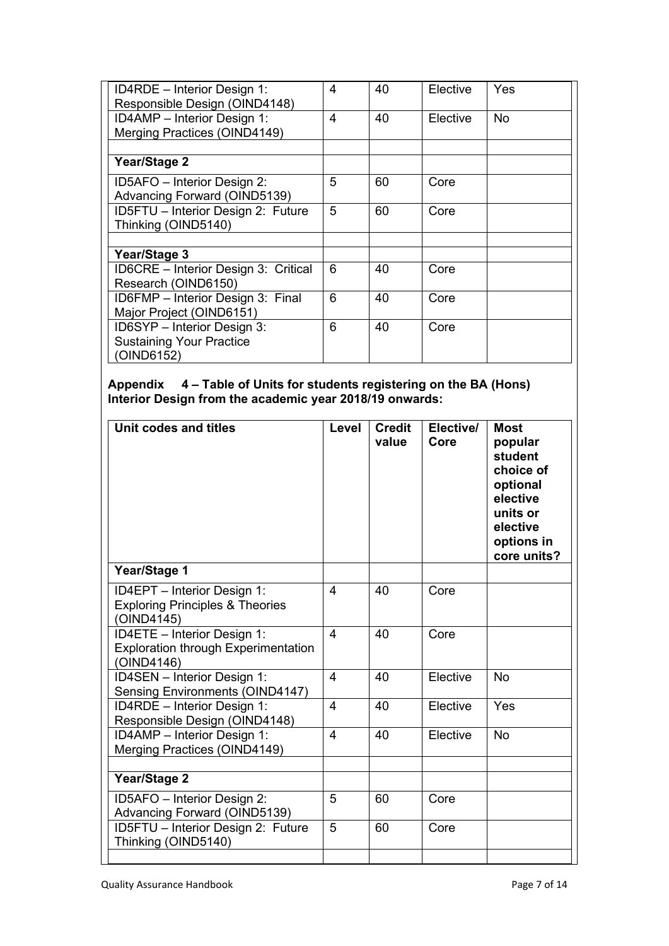| ID4RDE - Interior Design 1:<br>Responsible Design (OIND4148) | 4              | 40 | Elective | Yes       |
|--------------------------------------------------------------|----------------|----|----------|-----------|
| ID4AMP - Interior Design 1:                                  | $\overline{4}$ | 40 | Elective | <b>No</b> |
| Merging Practices (OIND4149)                                 |                |    |          |           |
|                                                              |                |    |          |           |
| <b>Year/Stage 2</b>                                          |                |    |          |           |
| ID5AFO - Interior Design 2:                                  | 5              | 60 | Core     |           |
| Advancing Forward (OIND5139)                                 |                |    |          |           |
| ID5FTU - Interior Design 2: Future                           | 5              | 60 | Core     |           |
| Thinking (OIND5140)                                          |                |    |          |           |
|                                                              |                |    |          |           |
| Year/Stage 3                                                 |                |    |          |           |
| <b>ID6CRE</b> - Interior Design 3: Critical                  | 6              | 40 | Core     |           |
| Research (OIND6150)                                          |                |    |          |           |
| ID6FMP - Interior Design 3: Final                            | 6              | 40 | Core     |           |
| Major Project (OIND6151)                                     |                |    |          |           |
| ID6SYP - Interior Design 3:                                  | 6              | 40 | Core     |           |
| <b>Sustaining Your Practice</b>                              |                |    |          |           |
| (OIND6152)                                                   |                |    |          |           |

### **Appendix 4 – Table of Units for students registering on the BA (Hons) Interior Design from the academic year 2018/19 onwards:**

| Unit codes and titles                                                                   | Level          | <b>Credit</b><br>value | Elective/<br>Core | <b>Most</b><br>popular<br>student<br>choice of<br>optional<br>elective<br>units or<br>elective<br>options in<br>core units? |
|-----------------------------------------------------------------------------------------|----------------|------------------------|-------------------|-----------------------------------------------------------------------------------------------------------------------------|
| Year/Stage 1                                                                            |                |                        |                   |                                                                                                                             |
| ID4EPT - Interior Design 1:<br><b>Exploring Principles &amp; Theories</b><br>(OIND4145) | $\overline{4}$ | 40                     | Core              |                                                                                                                             |
| ID4ETE - Interior Design 1:<br><b>Exploration through Experimentation</b><br>(OIND4146) | 4              | 40                     | Core              |                                                                                                                             |
| ID4SEN - Interior Design 1:<br>Sensing Environments (OIND4147)                          | $\overline{4}$ | 40                     | Elective          | <b>No</b>                                                                                                                   |
| ID4RDE - Interior Design 1:<br>Responsible Design (OIND4148)                            | 4              | 40                     | Elective          | Yes                                                                                                                         |
| ID4AMP - Interior Design 1:<br><b>Merging Practices (OIND4149)</b>                      | $\overline{4}$ | 40                     | Elective          | <b>No</b>                                                                                                                   |
| Year/Stage 2                                                                            |                |                        |                   |                                                                                                                             |
| ID5AFO - Interior Design 2:<br>Advancing Forward (OIND5139)                             | 5              | 60                     | Core              |                                                                                                                             |
| ID5FTU - Interior Design 2: Future<br>Thinking (OIND5140)                               | 5              | 60                     | Core              |                                                                                                                             |
|                                                                                         |                |                        |                   |                                                                                                                             |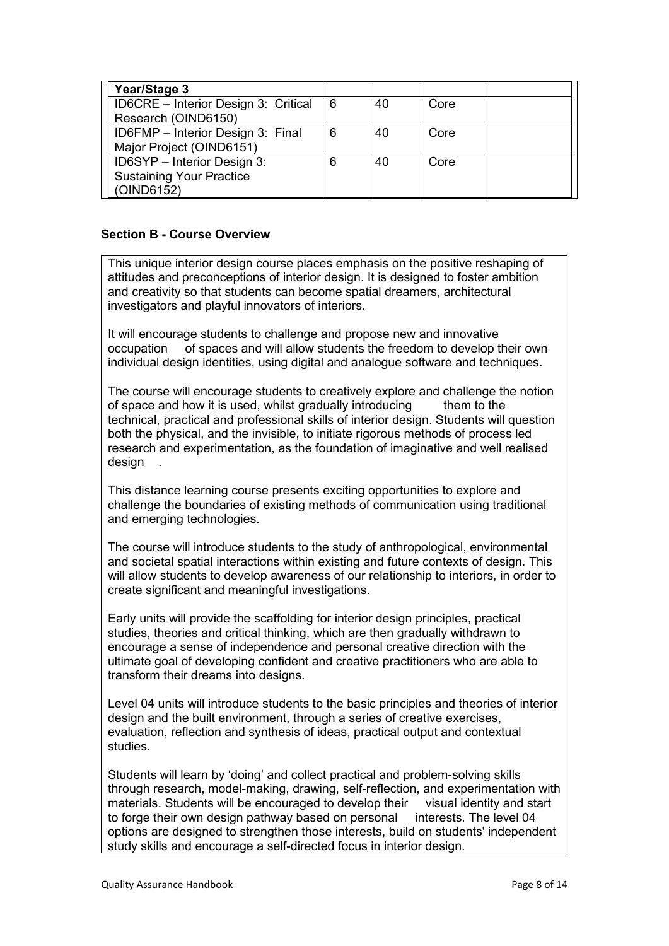| Year/Stage 3                         |   |    |      |  |
|--------------------------------------|---|----|------|--|
| ID6CRE - Interior Design 3: Critical | 6 | 40 | Core |  |
| Research (OIND6150)                  |   |    |      |  |
| ID6FMP - Interior Design 3: Final    | 6 | 40 | Core |  |
| Major Project (OIND6151)             |   |    |      |  |
| ID6SYP - Interior Design 3:          | 6 | 40 | Core |  |
| <b>Sustaining Your Practice</b>      |   |    |      |  |
| (OIND6152)                           |   |    |      |  |

### **Section B - Course Overview**

This unique interior design course places emphasis on the positive reshaping of attitudes and preconceptions of interior design. It is designed to foster ambition and creativity so that students can become spatial dreamers, architectural investigators and playful innovators of interiors.

It will encourage students to challenge and propose new and innovative occupation of spaces and will allow students the freedom to develop their own individual design identities, using digital and analogue software and techniques.

The course will encourage students to creatively explore and challenge the notion of space and how it is used. whilst gradually introducing them to the of space and how it is used, whilst gradually introducing technical, practical and professional skills of interior design. Students will question both the physical, and the invisible, to initiate rigorous methods of process led research and experimentation, as the foundation of imaginative and well realised design

This distance learning course presents exciting opportunities to explore and challenge the boundaries of existing methods of communication using traditional and emerging technologies.

The course will introduce students to the study of anthropological, environmental and societal spatial interactions within existing and future contexts of design. This will allow students to develop awareness of our relationship to interiors, in order to create significant and meaningful investigations.

Early units will provide the scaffolding for interior design principles, practical studies, theories and critical thinking, which are then gradually withdrawn to encourage a sense of independence and personal creative direction with the ultimate goal of developing confident and creative practitioners who are able to transform their dreams into designs.

Level 04 units will introduce students to the basic principles and theories of interior design and the built environment, through a series of creative exercises, evaluation, reflection and synthesis of ideas, practical output and contextual studies.

Students will learn by 'doing' and collect practical and problem-solving skills through research, model-making, drawing, self-reflection, and experimentation with materials. Students will be encouraged to develop their visual identity and start to forge their own design pathway based on personal interests. The level 04 options are designed to strengthen those interests, build on students' independent study skills and encourage a self-directed focus in interior design.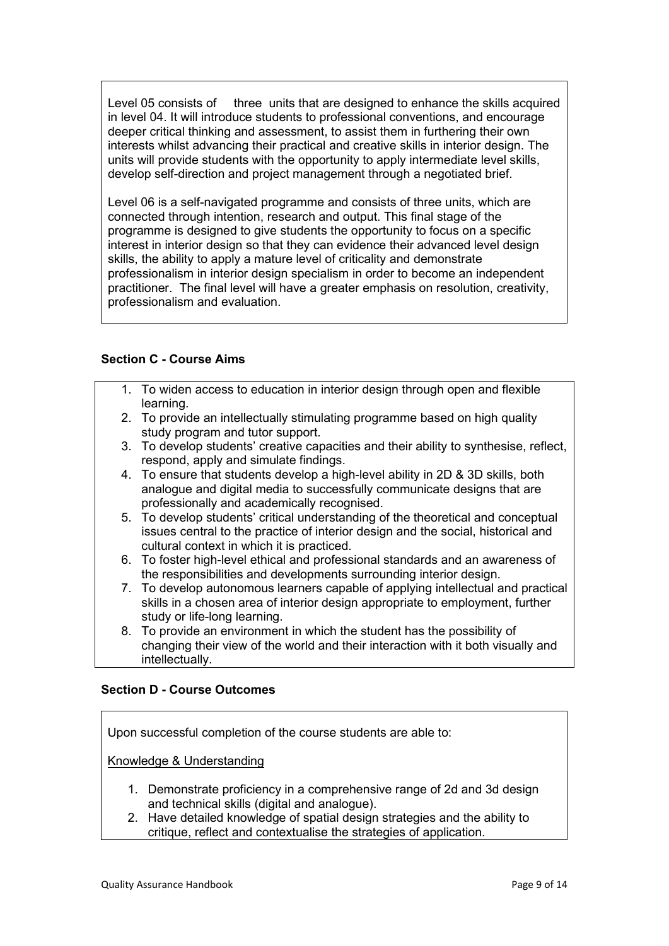Level 05 consists of three units that are designed to enhance the skills acquired in level 04. It will introduce students to professional conventions, and encourage deeper critical thinking and assessment, to assist them in furthering their own interests whilst advancing their practical and creative skills in interior design. The units will provide students with the opportunity to apply intermediate level skills, develop self-direction and project management through a negotiated brief.

Level 06 is a self-navigated programme and consists of three units, which are connected through intention, research and output. This final stage of the programme is designed to give students the opportunity to focus on a specific interest in interior design so that they can evidence their advanced level design skills, the ability to apply a mature level of criticality and demonstrate professionalism in interior design specialism in order to become an independent practitioner. The final level will have a greater emphasis on resolution, creativity, professionalism and evaluation.

### **Section C - Course Aims**

- 1. To widen access to education in interior design through open and flexible learning.
- 2. To provide an intellectually stimulating programme based on high quality study program and tutor support.
- 3. To develop students' creative capacities and their ability to synthesise, reflect, respond, apply and simulate findings.
- 4. To ensure that students develop a high-level ability in 2D & 3D skills, both analogue and digital media to successfully communicate designs that are professionally and academically recognised.
- 5. To develop students' critical understanding of the theoretical and conceptual issues central to the practice of interior design and the social, historical and cultural context in which it is practiced.
- 6. To foster high-level ethical and professional standards and an awareness of the responsibilities and developments surrounding interior design.
- 7. To develop autonomous learners capable of applying intellectual and practical skills in a chosen area of interior design appropriate to employment, further study or life-long learning.
- 8. To provide an environment in which the student has the possibility of changing their view of the world and their interaction with it both visually and intellectually.

## **Section D - Course Outcomes**

Upon successful completion of the course students are able to:

Knowledge & Understanding

- 1. Demonstrate proficiency in a comprehensive range of 2d and 3d design and technical skills (digital and analogue).
- 2. Have detailed knowledge of spatial design strategies and the ability to critique, reflect and contextualise the strategies of application.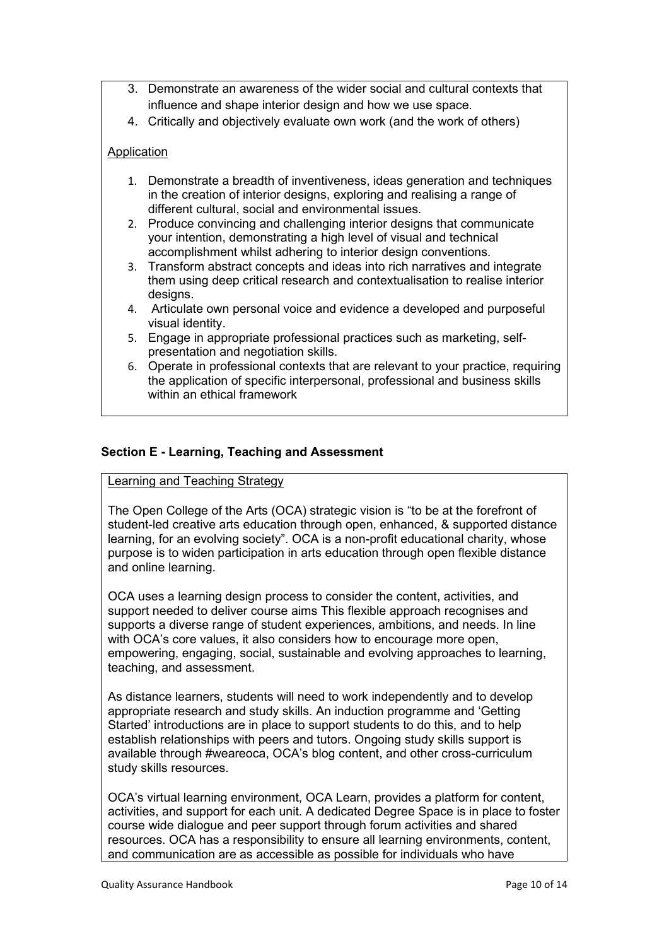- 3. Demonstrate an awareness of the wider social and cultural contexts that influence and shape interior design and how we use space.
- 4. Critically and objectively evaluate own work (and the work of others)

## **Application**

- 1. Demonstrate a breadth of inventiveness, ideas generation and techniques in the creation of interior designs, exploring and realising a range of different cultural, social and environmental issues.
- 2. Produce convincing and challenging interior designs that communicate your intention, demonstrating a high level of visual and technical accomplishment whilst adhering to interior design conventions.
- 3. Transform abstract concepts and ideas into rich narratives and integrate them using deep critical research and contextualisation to realise interior designs.
- 4. Articulate own personal voice and evidence a developed and purposeful visual identity.
- 5. Engage in appropriate professional practices such as marketing, selfpresentation and negotiation skills.
- 6. Operate in professional contexts that are relevant to your practice, requiring the application of specific interpersonal, professional and business skills within an ethical framework

## **Section E - Learning, Teaching and Assessment**

### Learning and Teaching Strategy

The Open College of the Arts (OCA) strategic vision is "to be at the forefront of student-led creative arts education through open, enhanced, & supported distance learning, for an evolving society". OCA is a non-profit educational charity, whose purpose is to widen participation in arts education through open flexible distance and online learning.

OCA uses a learning design process to consider the content, activities, and support needed to deliver course aims This flexible approach recognises and supports a diverse range of student experiences, ambitions, and needs. In line with OCA's core values, it also considers how to encourage more open, empowering, engaging, social, sustainable and evolving approaches to learning, teaching, and assessment.

As distance learners, students will need to work independently and to develop appropriate research and study skills. An induction programme and 'Getting Started' introductions are in place to support students to do this, and to help establish relationships with peers and tutors. Ongoing study skills support is available through #weareoca, OCA's blog content, and other cross-curriculum study skills resources.

OCA's virtual learning environment, OCA Learn, provides a platform for content, activities, and support for each unit. A dedicated Degree Space is in place to foster course wide dialogue and peer support through forum activities and shared resources. OCA has a responsibility to ensure all learning environments, content, and communication are as accessible as possible for individuals who have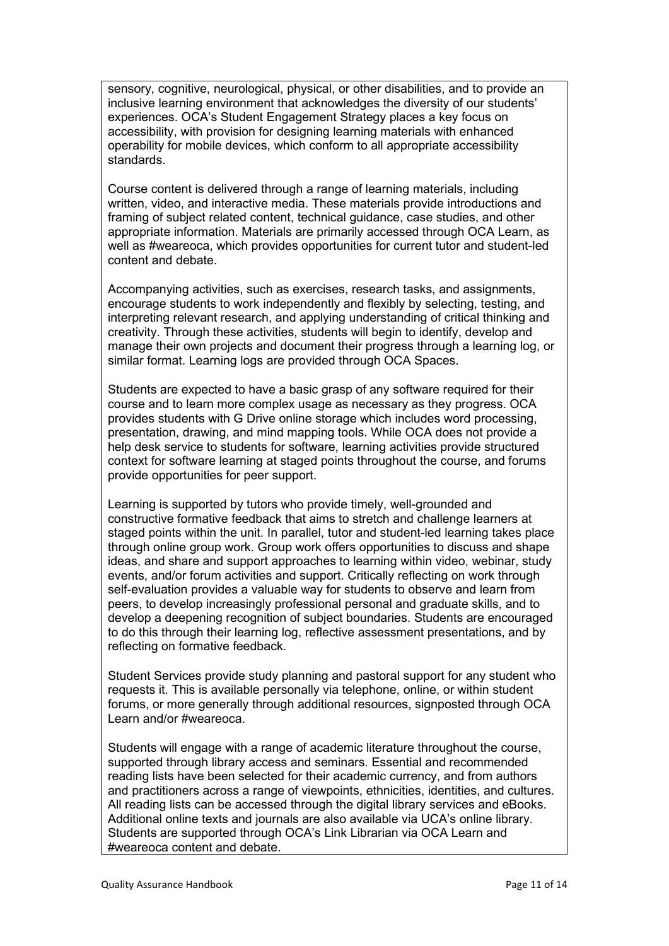sensory, cognitive, neurological, physical, or other disabilities, and to provide an inclusive learning environment that acknowledges the diversity of our students' experiences. OCA's Student Engagement Strategy places a key focus on accessibility, with provision for designing learning materials with enhanced operability for mobile devices, which conform to all appropriate accessibility standards.

Course content is delivered through a range of learning materials, including written, video, and interactive media. These materials provide introductions and framing of subject related content, technical guidance, case studies, and other appropriate information. Materials are primarily accessed through OCA Learn, as well as #weareoca, which provides opportunities for current tutor and student-led content and debate.

Accompanying activities, such as exercises, research tasks, and assignments, encourage students to work independently and flexibly by selecting, testing, and interpreting relevant research, and applying understanding of critical thinking and creativity. Through these activities, students will begin to identify, develop and manage their own projects and document their progress through a learning log, or similar format. Learning logs are provided through OCA Spaces.

Students are expected to have a basic grasp of any software required for their course and to learn more complex usage as necessary as they progress. OCA provides students with G Drive online storage which includes word processing, presentation, drawing, and mind mapping tools. While OCA does not provide a help desk service to students for software, learning activities provide structured context for software learning at staged points throughout the course, and forums provide opportunities for peer support.

Learning is supported by tutors who provide timely, well-grounded and constructive formative feedback that aims to stretch and challenge learners at staged points within the unit. In parallel, tutor and student-led learning takes place through online group work. Group work offers opportunities to discuss and shape ideas, and share and support approaches to learning within video, webinar, study events, and/or forum activities and support. Critically reflecting on work through self-evaluation provides a valuable way for students to observe and learn from peers, to develop increasingly professional personal and graduate skills, and to develop a deepening recognition of subject boundaries. Students are encouraged to do this through their learning log, reflective assessment presentations, and by reflecting on formative feedback.

Student Services provide study planning and pastoral support for any student who requests it. This is available personally via telephone, online, or within student forums, or more generally through additional resources, signposted through OCA Learn and/or #weareoca.

Students will engage with a range of academic literature throughout the course, supported through library access and seminars. Essential and recommended reading lists have been selected for their academic currency, and from authors and practitioners across a range of viewpoints, ethnicities, identities, and cultures. All reading lists can be accessed through the digital library services and eBooks. Additional online texts and journals are also available via UCA's online library. Students are supported through OCA's Link Librarian via OCA Learn and #weareoca content and debate.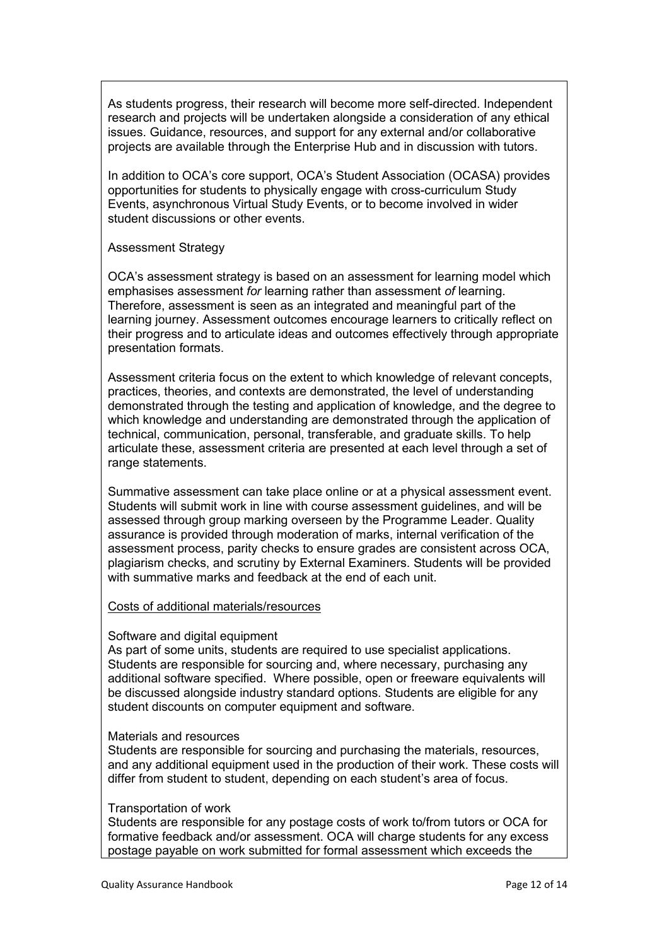As students progress, their research will become more self-directed. Independent research and projects will be undertaken alongside a consideration of any ethical issues. Guidance, resources, and support for any external and/or collaborative projects are available through the Enterprise Hub and in discussion with tutors.

In addition to OCA's core support, OCA's Student Association (OCASA) provides opportunities for students to physically engage with cross-curriculum Study Events, asynchronous Virtual Study Events, or to become involved in wider student discussions or other events.

#### Assessment Strategy

OCA's assessment strategy is based on an assessment for learning model which emphasises assessment *for* learning rather than assessment *of* learning. Therefore, assessment is seen as an integrated and meaningful part of the learning journey. Assessment outcomes encourage learners to critically reflect on their progress and to articulate ideas and outcomes effectively through appropriate presentation formats.

Assessment criteria focus on the extent to which knowledge of relevant concepts, practices, theories, and contexts are demonstrated, the level of understanding demonstrated through the testing and application of knowledge, and the degree to which knowledge and understanding are demonstrated through the application of technical, communication, personal, transferable, and graduate skills. To help articulate these, assessment criteria are presented at each level through a set of range statements.

Summative assessment can take place online or at a physical assessment event. Students will submit work in line with course assessment guidelines, and will be assessed through group marking overseen by the Programme Leader. Quality assurance is provided through moderation of marks, internal verification of the assessment process, parity checks to ensure grades are consistent across OCA, plagiarism checks, and scrutiny by External Examiners. Students will be provided with summative marks and feedback at the end of each unit.

### Costs of additional materials/resources

### Software and digital equipment

As part of some units, students are required to use specialist applications. Students are responsible for sourcing and, where necessary, purchasing any additional software specified. Where possible, open or freeware equivalents will be discussed alongside industry standard options. Students are eligible for any student discounts on computer equipment and software.

#### Materials and resources

Students are responsible for sourcing and purchasing the materials, resources, and any additional equipment used in the production of their work. These costs will differ from student to student, depending on each student's area of focus.

#### Transportation of work

Students are responsible for any postage costs of work to/from tutors or OCA for formative feedback and/or assessment. OCA will charge students for any excess postage payable on work submitted for formal assessment which exceeds the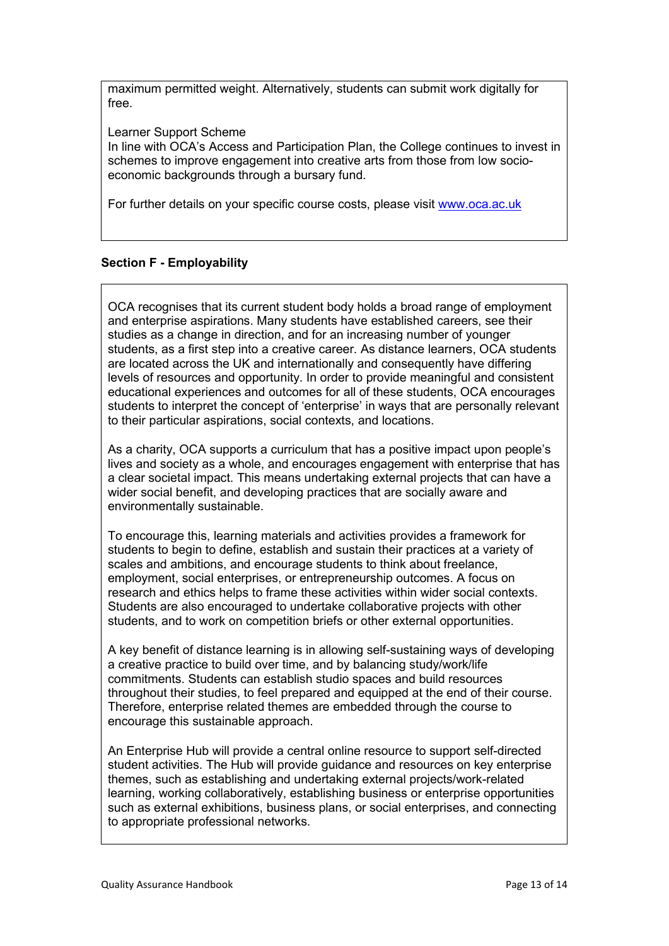maximum permitted weight. Alternatively, students can submit work digitally for free.

Learner Support Scheme

In line with OCA's Access and Participation Plan, the College continues to invest in schemes to improve engagement into creative arts from those from low socioeconomic backgrounds through a bursary fund.

For further details on your specific course costs, please visit [www.oca.ac.uk](http://www.oca.ac.uk/)

## **Section F - Employability**

OCA recognises that its current student body holds a broad range of employment and enterprise aspirations. Many students have established careers, see their studies as a change in direction, and for an increasing number of younger students, as a first step into a creative career. As distance learners, OCA students are located across the UK and internationally and consequently have differing levels of resources and opportunity. In order to provide meaningful and consistent educational experiences and outcomes for all of these students, OCA encourages students to interpret the concept of 'enterprise' in ways that are personally relevant to their particular aspirations, social contexts, and locations.

As a charity, OCA supports a curriculum that has a positive impact upon people's lives and society as a whole, and encourages engagement with enterprise that has a clear societal impact. This means undertaking external projects that can have a wider social benefit, and developing practices that are socially aware and environmentally sustainable.

To encourage this, learning materials and activities provides a framework for students to begin to define, establish and sustain their practices at a variety of scales and ambitions, and encourage students to think about freelance, employment, social enterprises, or entrepreneurship outcomes. A focus on research and ethics helps to frame these activities within wider social contexts. Students are also encouraged to undertake collaborative projects with other students, and to work on competition briefs or other external opportunities.

A key benefit of distance learning is in allowing self-sustaining ways of developing a creative practice to build over time, and by balancing study/work/life commitments. Students can establish studio spaces and build resources throughout their studies, to feel prepared and equipped at the end of their course. Therefore, enterprise related themes are embedded through the course to encourage this sustainable approach.

An Enterprise Hub will provide a central online resource to support self-directed student activities. The Hub will provide guidance and resources on key enterprise themes, such as establishing and undertaking external projects/work-related learning, working collaboratively, establishing business or enterprise opportunities such as external exhibitions, business plans, or social enterprises, and connecting to appropriate professional networks.